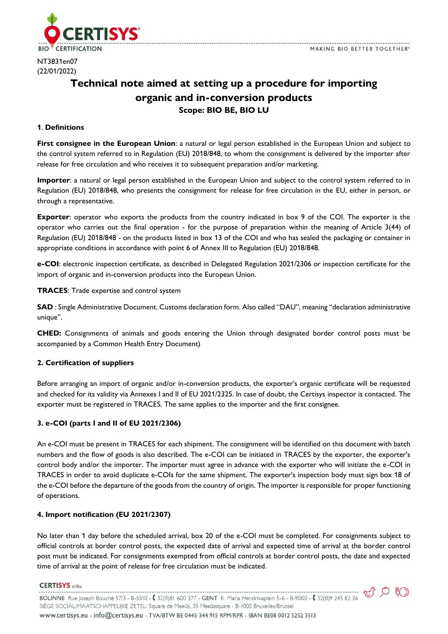

NT3831en07 (22/01/2022)

# **Technical note aimed at setting up a procedure for importing organic and in-conversion products Scope: BIO BE, BIO LU**

### **1**. **Definitions**

**First consignee in the European Union**: a natural or legal person established in the European Union and subject to the control system referred to in Regulation (EU) 2018/848, to whom the consignment is delivered by the importer after release for free circulation and who receives it to subsequent preparation and/or marketing.

**Importer**: a natural or legal person established in the European Union and subject to the control system referred to in Regulation (EU) 2018/848, who presents the consignment for release for free circulation in the EU, either in person, or through a representative.

**Exporter**: operator who exports the products from the country indicated in box 9 of the COI. The exporter is the operator who carries out the final operation - for the purpose of preparation within the meaning of Article 3(44) of Regulation (EU) 2018/848 - on the products listed in box 13 of the COI and who has sealed the packaging or container in appropriate conditions in accordance with point 6 of Annex III to Regulation (EU) 2018/848.

**e-COI**: electronic inspection certificate, as described in Delegated Regulation 2021/2306 or inspection certificate for the import of organic and in-conversion products into the European Union.

**TRACES**: Trade expertise and control system

**SAD** : Single Administrative Document. Customs declaration form. Also called "DAU", meaning "declaration administrative unique".

**CHED:** Consignments of animals and goods entering the Union through designated border control posts must be accompanied by a Common Health Entry Document)

# **2. Certification of suppliers**

Before arranging an import of organic and/or in-conversion products, the exporter's organic certificate will be requested and checked for its validity via Annexes I and II of EU 2021/2325. In case of doubt, the Certisys inspector is contacted. The exporter must be registered in TRACES. The same applies to the importer and the first consignee.

# **3. e-COI (parts I and II of EU 2021/2306)**

An e-COI must be present in TRACES for each shipment. The consignment will be identified on this document with batch numbers and the flow of goods is also described. The e-COI can be initiated in TRACES by the exporter, the exporter's control body and/or the importer. The importer must agree in advance with the exporter who will initiate the e-COI in TRACES in order to avoid duplicate e-COIs for the same shipment. The exporter's inspection body must sign box 18 of the e-COI before the departure of the goods from the country of origin. The importer is responsible for proper functioning of operations.

# **4. Import notification (EU 2021/2307)**

No later than 1 day before the scheduled arrival, box 20 of the e-COI must be completed. For consignments subject to official controls at border control posts, the expected date of arrival and expected time of arrival at the border control post must be indicated. For consignments exempted from official controls at border control posts, the date and expected time of arrival at the point of release for free circulation must be indicated.

#### **CERTISYS** srl/bv

BOLINNE Rue Joseph Bouché 57/3 - B-5310 - (32(0)81 600 377 - GENT K. Maria Hendrikaplein 5-6 - B-9000 - (32(0)9 245 82 36 SIÈGE SOCIAL/MAATSCHAPPELIJKE ZETEL: Square de Meeûs, 35 Meeûssquare - B-1000 Bruxelles/Brussel www.certisys.eu - info@certisys.eu - TVA/BTW BE 0445 344 915 RPM/RPR - IBAN BE08 0012 5252 3513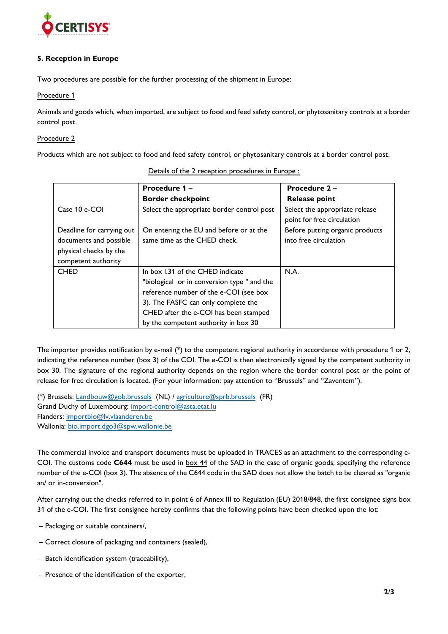

### **5. Reception in Europe**

Two procedures are possible for the further processing of the shipment in Europe:

Procedure 1

Animals and goods which, when imported, are subject to food and feed safety control, or phytosanitary controls at a border control post.

#### Procedure 2

Products which are not subject to food and feed safety control, or phytosanitary controls at a border control post.

|                                                                                                      | Procedure 1 -<br><b>Border checkpoint</b>                                                                                                                                                                                                         | Procedure 2 -<br><b>Release point</b>                        |
|------------------------------------------------------------------------------------------------------|---------------------------------------------------------------------------------------------------------------------------------------------------------------------------------------------------------------------------------------------------|--------------------------------------------------------------|
| Case 10 e-COI                                                                                        | Select the appropriate border control post                                                                                                                                                                                                        | Select the appropriate release<br>point for free circulation |
| Deadline for carrying out<br>documents and possible<br>physical checks by the<br>competent authority | On entering the EU and before or at the<br>same time as the CHED check.                                                                                                                                                                           | Before putting organic products<br>into free circulation     |
| <b>CHED</b>                                                                                          | In box I.31 of the CHED indicate<br>"biological or in conversion type " and the<br>reference number of the e-COI (see box<br>3). The FASFC can only complete the<br>CHED after the e-COI has been stamped<br>by the competent authority in box 30 | N.A.                                                         |

Details of the 2 reception procedures in Europe :

The importer provides notification by e-mail (\*) to the competent regional authority in accordance with procedure 1 or 2, indicating the reference number (box 3) of the COI. The e-COI is then electronically signed by the competent authority in box 30. The signature of the regional authority depends on the region where the border control post or the point of release for free circulation is located. (For your information: pay attention to "Brussels" and "Zaventem").

(\*) Brussels: [Landbouw@gob.brussels](mailto:Landbouw@gob.brussels) (NL) / [agriculture@sprb.brussels](mailto:agriculture@sprb.brussels) (FR) Grand Duchy of Luxembourg: [import-control@asta.etat.lu](mailto:import-control@asta.etat.lu) Flanders: [importbio@lv.vlaanderen.be](mailto:importbio@lv.vlaanderen.be) Wallonia: [bio.import.dgo3@spw.wallonie.be](mailto:bio.import.dgo3@spw.wallonie.be)

The commercial invoice and transport documents must be uploaded in TRACES as an attachment to the corresponding e-COI. The customs code **C644** must be used in box 44 of the SAD in the case of organic goods, specifying the reference number of the e-COI (box 3). The absence of the C644 code in the SAD does not allow the batch to be cleared as "organic an/ or in-conversion".

After carrying out the checks referred to in point 6 of Annex III to Regulation (EU) 2018/848, the first consignee signs box 31 of the e-COI. The first consignee hereby confirms that the following points have been checked upon the lot:

- Packaging or suitable containers/,
- Correct closure of packaging and containers (sealed),
- Batch identification system (traceability),
- Presence of the identification of the exporter,